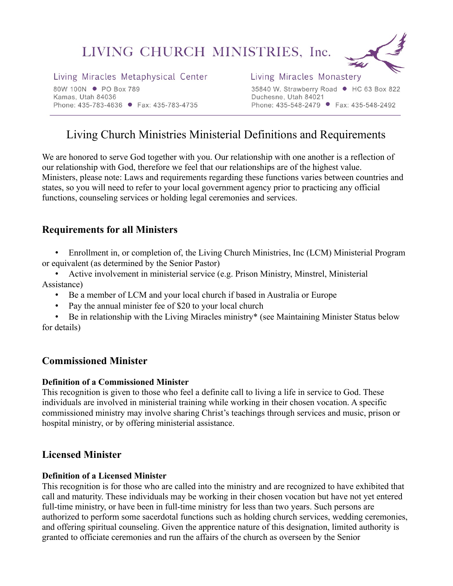# LIVING CHURCH MINISTRIES, Inc.



Living Miracles Metaphysical Center

80W 100N • PO Box 789 Kamas, Utah 84036 Phone: 435-783-4636 ● Fax: 435-783-4735

#### Living Miracles Monastery

35840 W. Strawberry Road ● HC 63 Box 822 Duchesne, Utah 84021 Phone: 435-548-2479 ● Fax: 435-548-2492

# Living Church Ministries Ministerial Definitions and Requirements

We are honored to serve God together with you. Our relationship with one another is a reflection of our relationship with God, therefore we feel that our relationships are of the highest value. Ministers, please note: Laws and requirements regarding these functions varies between countries and states, so you will need to refer to your local government agency prior to practicing any official functions, counseling services or holding legal ceremonies and services.

# **Requirements for all Ministers**

• Enrollment in, or completion of, the Living Church Ministries, Inc (LCM) Ministerial Program or equivalent (as determined by the Senior Pastor)

• Active involvement in ministerial service (e.g. Prison Ministry, Minstrel, Ministerial Assistance)

- Be a member of LCM and your local church if based in Australia or Europe
- Pay the annual minister fee of \$20 to your local church

• Be in relationship with the Living Miracles ministry\* (see Maintaining Minister Status below for details)

# **Commissioned Minister**

#### **Definition of a Commissioned Minister**

This recognition is given to those who feel a definite call to living a life in service to God. These individuals are involved in ministerial training while working in their chosen vocation. A specific commissioned ministry may involve sharing Christ's teachings through services and music, prison or hospital ministry, or by offering ministerial assistance.

# **Licensed Minister**

#### **Definition of a Licensed Minister**

This recognition is for those who are called into the ministry and are recognized to have exhibited that call and maturity. These individuals may be working in their chosen vocation but have not yet entered full-time ministry, or have been in full-time ministry for less than two years. Such persons are authorized to perform some sacerdotal functions such as holding church services, wedding ceremonies, and offering spiritual counseling. Given the apprentice nature of this designation, limited authority is granted to officiate ceremonies and run the affairs of the church as overseen by the Senior